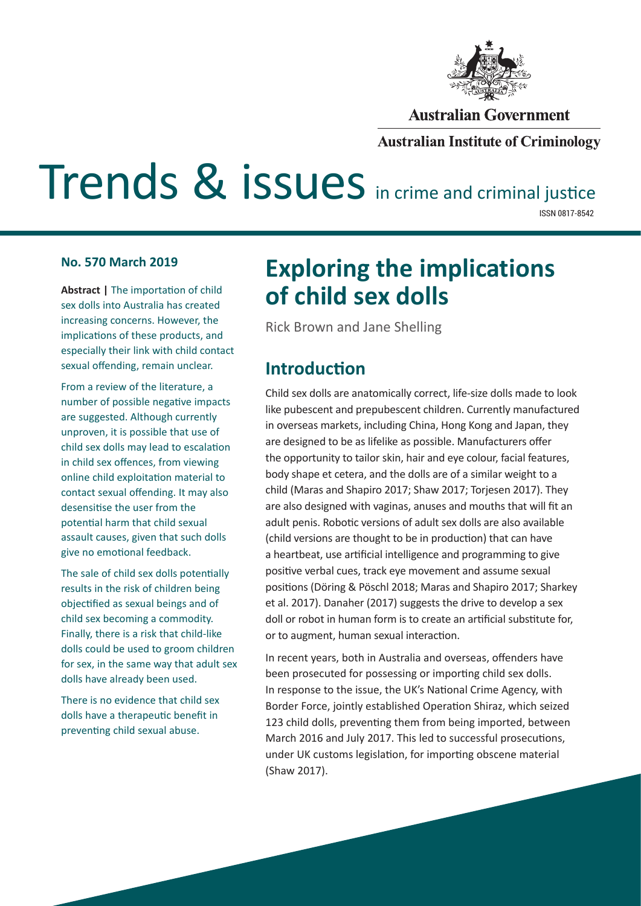

#### **Australian Government**

#### **Australian Institute of Criminology**

# Trends & issues in crime and criminal justice

ISSN 0817-8542

#### **No. 570 March 2019**

**Abstract | The importation of child** sex dolls into Australia has created increasing concerns. However, the implications of these products, and especially their link with child contact sexual offending, remain unclear.

From a review of the literature, a number of possible negative impacts are suggested. Although currently unproven, it is possible that use of child sex dolls may lead to escalation in child sex offences, from viewing online child exploitation material to contact sexual offending. It may also desensitise the user from the potential harm that child sexual assault causes, given that such dolls give no emotional feedback.

The sale of child sex dolls potentially results in the risk of children being objectified as sexual beings and of child sex becoming a commodity. Finally, there is a risk that child-like dolls could be used to groom children for sex, in the same way that adult sex dolls have already been used.

There is no evidence that child sex dolls have a therapeutic benefit in preventing child sexual abuse.

## **Exploring the implications of child sex dolls**

Rick Brown and Jane Shelling

### **Introduction**

Child sex dolls are anatomically correct, life-size dolls made to look like pubescent and prepubescent children. Currently manufactured in overseas markets, including China, Hong Kong and Japan, they are designed to be as lifelike as possible. Manufacturers offer the opportunity to tailor skin, hair and eye colour, facial features, body shape et cetera, and the dolls are of a similar weight to a child (Maras and Shapiro 2017; Shaw 2017; Torjesen 2017). They are also designed with vaginas, anuses and mouths that will fit an adult penis. Robotic versions of adult sex dolls are also available (child versions are thought to be in production) that can have a heartbeat, use artificial intelligence and programming to give positive verbal cues, track eye movement and assume sexual positions (Döring & Pöschl 2018; Maras and Shapiro 2017; Sharkey et al. 2017). Danaher (2017) suggests the drive to develop a sex doll or robot in human form is to create an artificial substitute for, or to augment, human sexual interaction.

In recent years, both in Australia and overseas, offenders have been prosecuted for possessing or importing child sex dolls. In response to the issue, the UK's National Crime Agency, with Border Force, jointly established Operation Shiraz, which seized 123 child dolls, preventing them from being imported, between March 2016 and July 2017. This led to successful prosecutions, under UK customs legislation, for importing obscene material (Shaw 2017).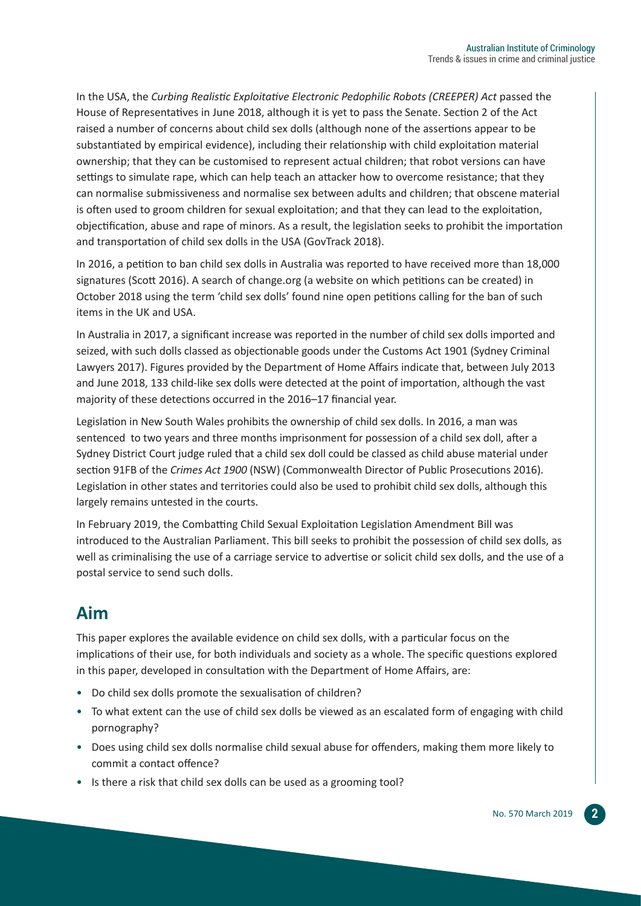In the USA, the *Curbing Realistic Exploitative Electronic Pedophilic Robots (CREEPER) Act* passed the House of Representatives in June 2018, although it is yet to pass the Senate. Section 2 of the Act raised a number of concerns about child sex dolls (although none of the assertions appear to be substantiated by empirical evidence), including their relationship with child exploitation material ownership; that they can be customised to represent actual children; that robot versions can have settings to simulate rape, which can help teach an attacker how to overcome resistance; that they can normalise submissiveness and normalise sex between adults and children; that obscene material is often used to groom children for sexual exploitation; and that they can lead to the exploitation, objectification, abuse and rape of minors. As a result, the legislation seeks to prohibit the importation and transportation of child sex dolls in the USA (GovTrack 2018).

In 2016, a petition to ban child sex dolls in Australia was reported to have received more than 18,000 signatures (Scott 2016). A search of change.org (a website on which petitions can be created) in October 2018 using the term 'child sex dolls' found nine open petitions calling for the ban of such items in the UK and USA.

In Australia in 2017, a significant increase was reported in the number of child sex dolls imported and seized, with such dolls classed as objectionable goods under the Customs Act 1901 (Sydney Criminal Lawyers 2017). Figures provided by the Department of Home Affairs indicate that, between July 2013 and June 2018, 133 child-like sex dolls were detected at the point of importation, although the vast majority of these detections occurred in the 2016–17 financial year.

Legislation in New South Wales prohibits the ownership of child sex dolls. In 2016, a man was sentenced to two years and three months imprisonment for possession of a child sex doll, after a Sydney District Court judge ruled that a child sex doll could be classed as child abuse material under section 91FB of the *Crimes Act 1900* (NSW) (Commonwealth Director of Public Prosecutions 2016). Legislation in other states and territories could also be used to prohibit child sex dolls, although this largely remains untested in the courts.

In February 2019, the Combatting Child Sexual Exploitation Legislation Amendment Bill was introduced to the Australian Parliament. This bill seeks to prohibit the possession of child sex dolls, as well as criminalising the use of a carriage service to advertise or solicit child sex dolls, and the use of a postal service to send such dolls.

## **Aim**

This paper explores the available evidence on child sex dolls, with a particular focus on the implications of their use, for both individuals and society as a whole. The specific questions explored in this paper, developed in consultation with the Department of Home Affairs, are:

- Do child sex dolls promote the sexualisation of children?
- To what extent can the use of child sex dolls be viewed as an escalated form of engaging with child pornography?
- Does using child sex dolls normalise child sexual abuse for offenders, making them more likely to commit a contact offence?
- Is there a risk that child sex dolls can be used as a grooming tool?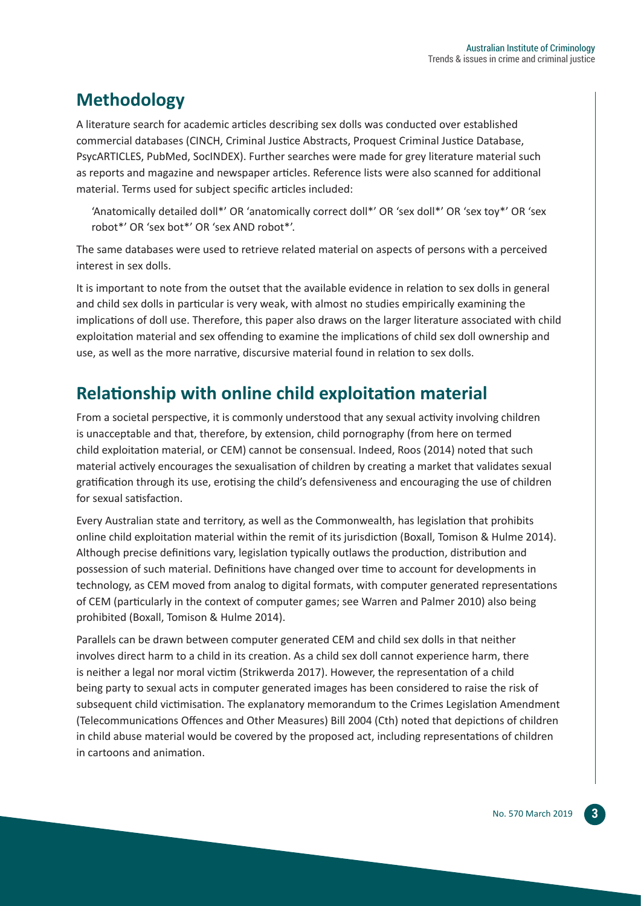## **Methodology**

A literature search for academic articles describing sex dolls was conducted over established commercial databases (CINCH, Criminal Justice Abstracts, Proquest Criminal Justice Database, PsycARTICLES, PubMed, SocINDEX). Further searches were made for grey literature material such as reports and magazine and newspaper articles. Reference lists were also scanned for additional material. Terms used for subject specific articles included:

'Anatomically detailed doll\*' OR 'anatomically correct doll\*' OR 'sex doll\*' OR 'sex toy\*' OR 'sex robot\*' OR 'sex bot\*' OR 'sex AND robot\*'.

The same databases were used to retrieve related material on aspects of persons with a perceived interest in sex dolls.

It is important to note from the outset that the available evidence in relation to sex dolls in general and child sex dolls in particular is very weak, with almost no studies empirically examining the implications of doll use. Therefore, this paper also draws on the larger literature associated with child exploitation material and sex offending to examine the implications of child sex doll ownership and use, as well as the more narrative, discursive material found in relation to sex dolls.

## **Relationship with online child exploitation material**

From a societal perspective, it is commonly understood that any sexual activity involving children is unacceptable and that, therefore, by extension, child pornography (from here on termed child exploitation material, or CEM) cannot be consensual. Indeed, Roos (2014) noted that such material actively encourages the sexualisation of children by creating a market that validates sexual gratification through its use, erotising the child's defensiveness and encouraging the use of children for sexual satisfaction.

Every Australian state and territory, as well as the Commonwealth, has legislation that prohibits online child exploitation material within the remit of its jurisdiction (Boxall, Tomison & Hulme 2014). Although precise definitions vary, legislation typically outlaws the production, distribution and possession of such material. Definitions have changed over time to account for developments in technology, as CEM moved from analog to digital formats, with computer generated representations of CEM (particularly in the context of computer games; see Warren and Palmer 2010) also being prohibited (Boxall, Tomison & Hulme 2014).

Parallels can be drawn between computer generated CEM and child sex dolls in that neither involves direct harm to a child in its creation. As a child sex doll cannot experience harm, there is neither a legal nor moral victim (Strikwerda 2017). However, the representation of a child being party to sexual acts in computer generated images has been considered to raise the risk of subsequent child victimisation. The explanatory memorandum to the Crimes Legislation Amendment (Telecommunications Offences and Other Measures) Bill 2004 (Cth) noted that depictions of children in child abuse material would be covered by the proposed act, including representations of children in cartoons and animation.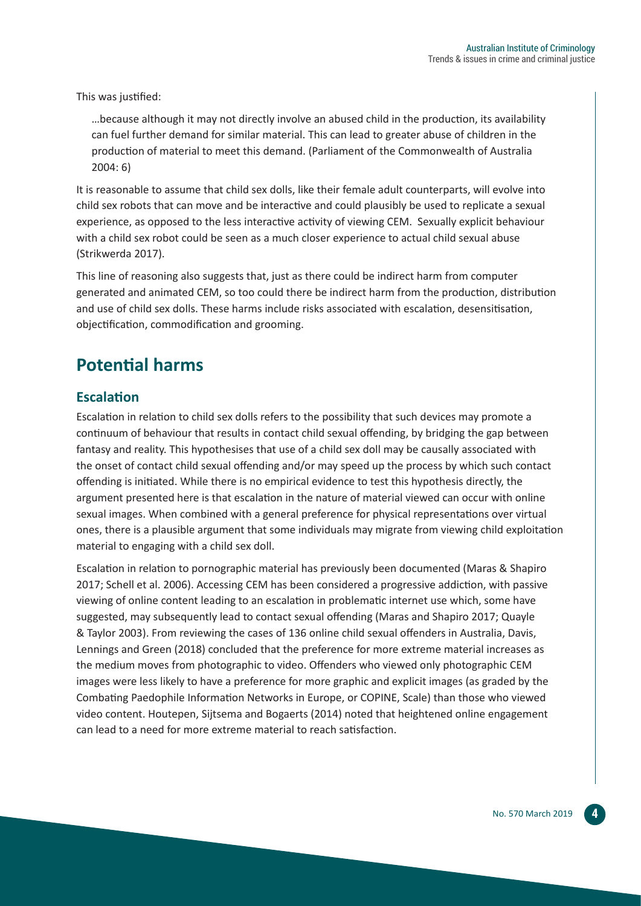This was justified:

…because although it may not directly involve an abused child in the production, its availability can fuel further demand for similar material. This can lead to greater abuse of children in the production of material to meet this demand. (Parliament of the Commonwealth of Australia 2004: 6)

It is reasonable to assume that child sex dolls, like their female adult counterparts, will evolve into child sex robots that can move and be interactive and could plausibly be used to replicate a sexual experience, as opposed to the less interactive activity of viewing CEM. Sexually explicit behaviour with a child sex robot could be seen as a much closer experience to actual child sexual abuse (Strikwerda 2017).

This line of reasoning also suggests that, just as there could be indirect harm from computer generated and animated CEM, so too could there be indirect harm from the production, distribution and use of child sex dolls. These harms include risks associated with escalation, desensitisation, objectification, commodification and grooming.

## **Potential harms**

#### **Escalation**

Escalation in relation to child sex dolls refers to the possibility that such devices may promote a continuum of behaviour that results in contact child sexual offending, by bridging the gap between fantasy and reality. This hypothesises that use of a child sex doll may be causally associated with the onset of contact child sexual offending and/or may speed up the process by which such contact offending is initiated. While there is no empirical evidence to test this hypothesis directly, the argument presented here is that escalation in the nature of material viewed can occur with online sexual images. When combined with a general preference for physical representations over virtual ones, there is a plausible argument that some individuals may migrate from viewing child exploitation material to engaging with a child sex doll.

Escalation in relation to pornographic material has previously been documented (Maras & Shapiro 2017; Schell et al. 2006). Accessing CEM has been considered a progressive addiction, with passive viewing of online content leading to an escalation in problematic internet use which, some have suggested, may subsequently lead to contact sexual offending (Maras and Shapiro 2017; Quayle & Taylor 2003). From reviewing the cases of 136 online child sexual offenders in Australia, Davis, Lennings and Green (2018) concluded that the preference for more extreme material increases as the medium moves from photographic to video. Offenders who viewed only photographic CEM images were less likely to have a preference for more graphic and explicit images (as graded by the Combating Paedophile Information Networks in Europe, or COPINE, Scale) than those who viewed video content. Houtepen, Sijtsema and Bogaerts (2014) noted that heightened online engagement can lead to a need for more extreme material to reach satisfaction.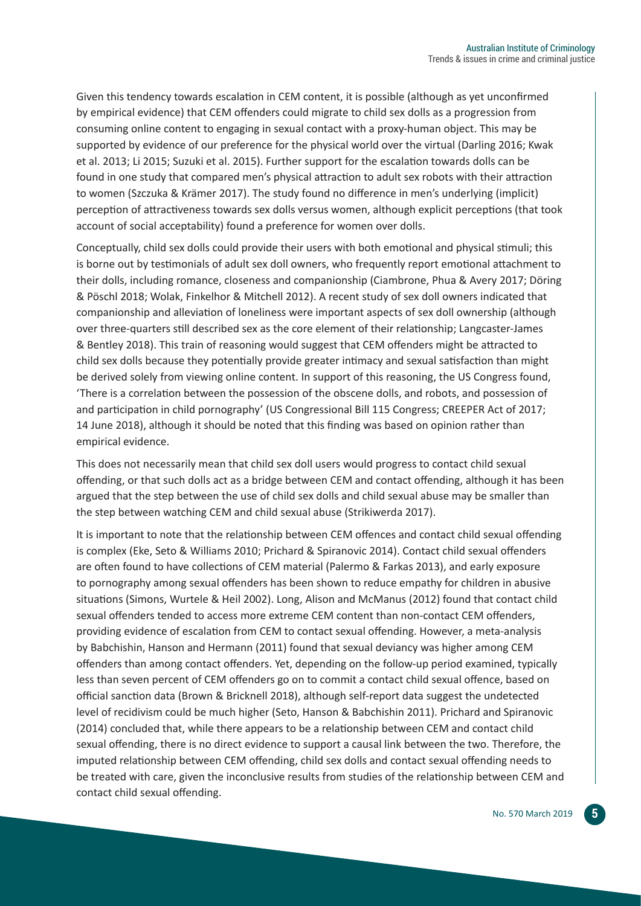Given this tendency towards escalation in CEM content, it is possible (although as yet unconfirmed by empirical evidence) that CEM offenders could migrate to child sex dolls as a progression from consuming online content to engaging in sexual contact with a proxy-human object. This may be supported by evidence of our preference for the physical world over the virtual (Darling 2016; Kwak et al. 2013; Li 2015; Suzuki et al. 2015). Further support for the escalation towards dolls can be found in one study that compared men's physical attraction to adult sex robots with their attraction to women (Szczuka & Krämer 2017). The study found no difference in men's underlying (implicit) perception of attractiveness towards sex dolls versus women, although explicit perceptions (that took account of social acceptability) found a preference for women over dolls.

Conceptually, child sex dolls could provide their users with both emotional and physical stimuli; this is borne out by testimonials of adult sex doll owners, who frequently report emotional attachment to their dolls, including romance, closeness and companionship (Ciambrone, Phua & Avery 2017; Döring & Pöschl 2018; Wolak, Finkelhor & Mitchell 2012). A recent study of sex doll owners indicated that companionship and alleviation of loneliness were important aspects of sex doll ownership (although over three-quarters still described sex as the core element of their relationship; Langcaster-James & Bentley 2018). This train of reasoning would suggest that CEM offenders might be attracted to child sex dolls because they potentially provide greater intimacy and sexual satisfaction than might be derived solely from viewing online content. In support of this reasoning, the US Congress found, 'There is a correlation between the possession of the obscene dolls, and robots, and possession of and participation in child pornography' (US Congressional Bill 115 Congress; CREEPER Act of 2017; 14 June 2018), although it should be noted that this finding was based on opinion rather than empirical evidence.

This does not necessarily mean that child sex doll users would progress to contact child sexual offending, or that such dolls act as a bridge between CEM and contact offending, although it has been argued that the step between the use of child sex dolls and child sexual abuse may be smaller than the step between watching CEM and child sexual abuse (Strikiwerda 2017).

It is important to note that the relationship between CEM offences and contact child sexual offending is complex (Eke, Seto & Williams 2010; Prichard & Spiranovic 2014). Contact child sexual offenders are often found to have collections of CEM material (Palermo & Farkas 2013), and early exposure to pornography among sexual offenders has been shown to reduce empathy for children in abusive situations (Simons, Wurtele & Heil 2002). Long, Alison and McManus (2012) found that contact child sexual offenders tended to access more extreme CEM content than non-contact CEM offenders, providing evidence of escalation from CEM to contact sexual offending. However, a meta-analysis by Babchishin, Hanson and Hermann (2011) found that sexual deviancy was higher among CEM offenders than among contact offenders. Yet, depending on the follow-up period examined, typically less than seven percent of CEM offenders go on to commit a contact child sexual offence, based on official sanction data (Brown & Bricknell 2018), although self-report data suggest the undetected level of recidivism could be much higher (Seto, Hanson & Babchishin 2011). Prichard and Spiranovic (2014) concluded that, while there appears to be a relationship between CEM and contact child sexual offending, there is no direct evidence to support a causal link between the two. Therefore, the imputed relationship between CEM offending, child sex dolls and contact sexual offending needs to be treated with care, given the inconclusive results from studies of the relationship between CEM and contact child sexual offending.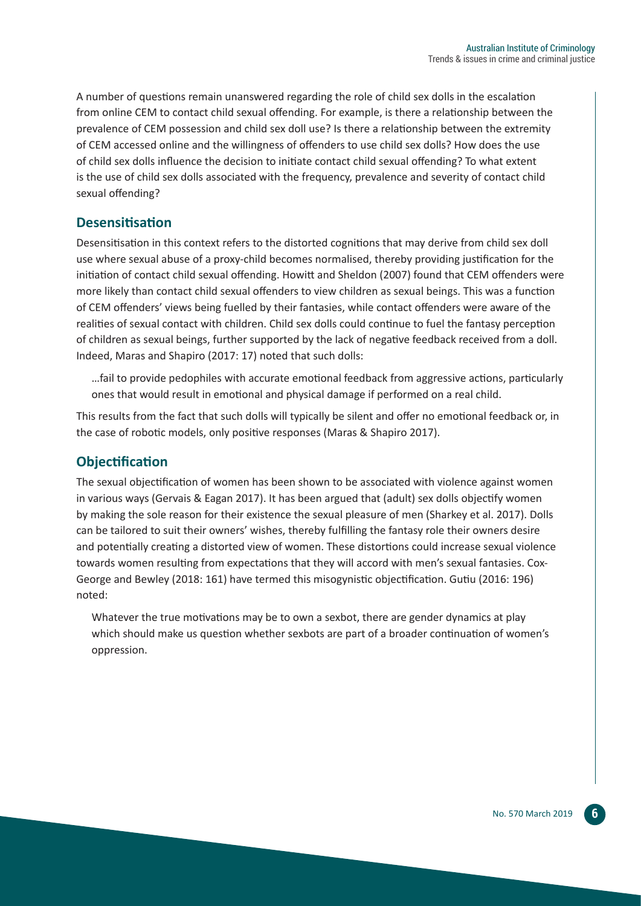A number of questions remain unanswered regarding the role of child sex dolls in the escalation from online CEM to contact child sexual offending. For example, is there a relationship between the prevalence of CEM possession and child sex doll use? Is there a relationship between the extremity of CEM accessed online and the willingness of offenders to use child sex dolls? How does the use of child sex dolls influence the decision to initiate contact child sexual offending? To what extent is the use of child sex dolls associated with the frequency, prevalence and severity of contact child sexual offending?

#### **Desensitisation**

Desensitisation in this context refers to the distorted cognitions that may derive from child sex doll use where sexual abuse of a proxy-child becomes normalised, thereby providing justification for the initiation of contact child sexual offending. Howitt and Sheldon (2007) found that CEM offenders were more likely than contact child sexual offenders to view children as sexual beings. This was a function of CEM offenders' views being fuelled by their fantasies, while contact offenders were aware of the realities of sexual contact with children. Child sex dolls could continue to fuel the fantasy perception of children as sexual beings, further supported by the lack of negative feedback received from a doll. Indeed, Maras and Shapiro (2017: 17) noted that such dolls:

…fail to provide pedophiles with accurate emotional feedback from aggressive actions, particularly ones that would result in emotional and physical damage if performed on a real child.

This results from the fact that such dolls will typically be silent and offer no emotional feedback or, in the case of robotic models, only positive responses (Maras & Shapiro 2017).

#### **Objectification**

The sexual objectification of women has been shown to be associated with violence against women in various ways (Gervais & Eagan 2017). It has been argued that (adult) sex dolls objectify women by making the sole reason for their existence the sexual pleasure of men (Sharkey et al. 2017). Dolls can be tailored to suit their owners' wishes, thereby fulfilling the fantasy role their owners desire and potentially creating a distorted view of women. These distortions could increase sexual violence towards women resulting from expectations that they will accord with men's sexual fantasies. Cox-George and Bewley (2018: 161) have termed this misogynistic objectification. Gutiu (2016: 196) noted:

Whatever the true motivations may be to own a sexbot, there are gender dynamics at play which should make us question whether sexbots are part of a broader continuation of women's oppression.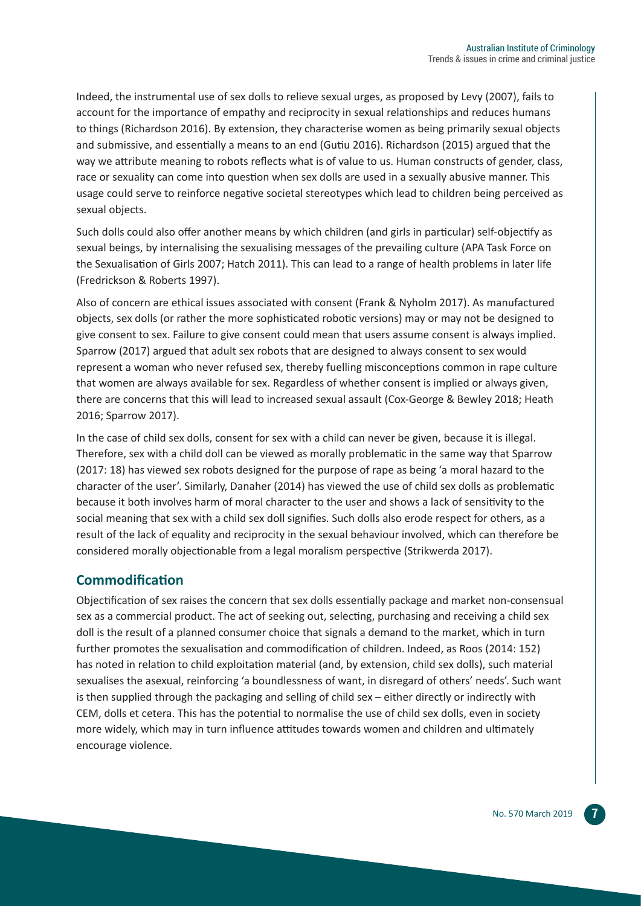Indeed, the instrumental use of sex dolls to relieve sexual urges, as proposed by Levy (2007), fails to account for the importance of empathy and reciprocity in sexual relationships and reduces humans to things (Richardson 2016). By extension, they characterise women as being primarily sexual objects and submissive, and essentially a means to an end (Gutiu 2016). Richardson (2015) argued that the way we attribute meaning to robots reflects what is of value to us. Human constructs of gender, class, race or sexuality can come into question when sex dolls are used in a sexually abusive manner. This usage could serve to reinforce negative societal stereotypes which lead to children being perceived as sexual objects.

Such dolls could also offer another means by which children (and girls in particular) self-objectify as sexual beings, by internalising the sexualising messages of the prevailing culture (APA Task Force on the Sexualisation of Girls 2007; Hatch 2011). This can lead to a range of health problems in later life (Fredrickson & Roberts 1997).

Also of concern are ethical issues associated with consent (Frank & Nyholm 2017). As manufactured objects, sex dolls (or rather the more sophisticated robotic versions) may or may not be designed to give consent to sex. Failure to give consent could mean that users assume consent is always implied. Sparrow (2017) argued that adult sex robots that are designed to always consent to sex would represent a woman who never refused sex, thereby fuelling misconceptions common in rape culture that women are always available for sex. Regardless of whether consent is implied or always given, there are concerns that this will lead to increased sexual assault (Cox-George & Bewley 2018; Heath 2016; Sparrow 2017).

In the case of child sex dolls, consent for sex with a child can never be given, because it is illegal. Therefore, sex with a child doll can be viewed as morally problematic in the same way that Sparrow (2017: 18) has viewed sex robots designed for the purpose of rape as being 'a moral hazard to the character of the user'. Similarly, Danaher (2014) has viewed the use of child sex dolls as problematic because it both involves harm of moral character to the user and shows a lack of sensitivity to the social meaning that sex with a child sex doll signifies. Such dolls also erode respect for others, as a result of the lack of equality and reciprocity in the sexual behaviour involved, which can therefore be considered morally objectionable from a legal moralism perspective (Strikwerda 2017).

#### **Commodification**

Objectification of sex raises the concern that sex dolls essentially package and market non-consensual sex as a commercial product. The act of seeking out, selecting, purchasing and receiving a child sex doll is the result of a planned consumer choice that signals a demand to the market, which in turn further promotes the sexualisation and commodification of children. Indeed, as Roos (2014: 152) has noted in relation to child exploitation material (and, by extension, child sex dolls), such material sexualises the asexual, reinforcing 'a boundlessness of want, in disregard of others' needs'. Such want is then supplied through the packaging and selling of child sex – either directly or indirectly with CEM, dolls et cetera. This has the potential to normalise the use of child sex dolls, even in society more widely, which may in turn influence attitudes towards women and children and ultimately encourage violence.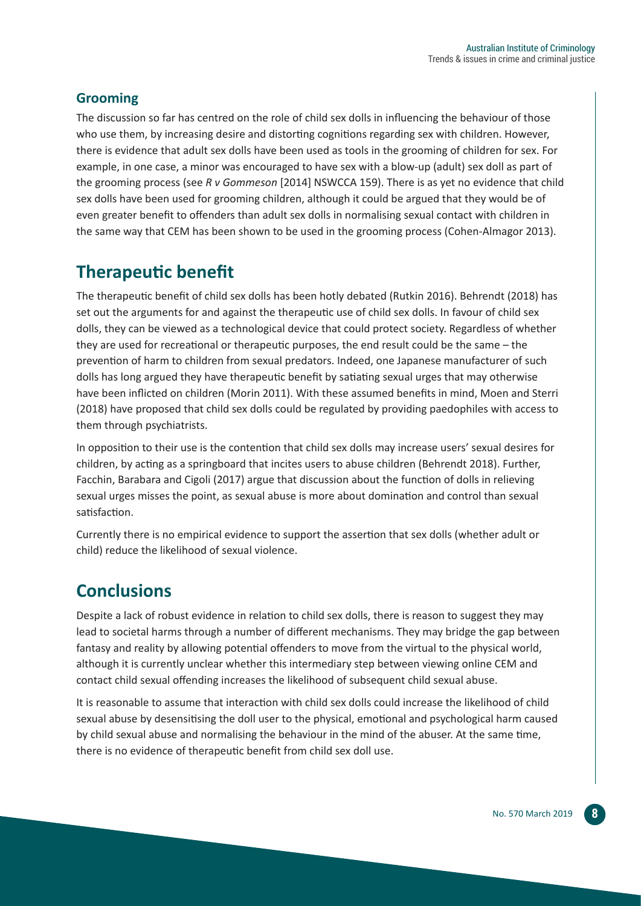#### **Grooming**

The discussion so far has centred on the role of child sex dolls in influencing the behaviour of those who use them, by increasing desire and distorting cognitions regarding sex with children. However, there is evidence that adult sex dolls have been used as tools in the grooming of children for sex. For example, in one case, a minor was encouraged to have sex with a blow-up (adult) sex doll as part of the grooming process (see *R v Gommeson* [2014] NSWCCA 159). There is as yet no evidence that child sex dolls have been used for grooming children, although it could be argued that they would be of even greater benefit to offenders than adult sex dolls in normalising sexual contact with children in the same way that CEM has been shown to be used in the grooming process (Cohen-Almagor 2013).

## **Therapeutic benefit**

The therapeutic benefit of child sex dolls has been hotly debated (Rutkin 2016). Behrendt (2018) has set out the arguments for and against the therapeutic use of child sex dolls. In favour of child sex dolls, they can be viewed as a technological device that could protect society. Regardless of whether they are used for recreational or therapeutic purposes, the end result could be the same – the prevention of harm to children from sexual predators. Indeed, one Japanese manufacturer of such dolls has long argued they have therapeutic benefit by satiating sexual urges that may otherwise have been inflicted on children (Morin 2011). With these assumed benefits in mind, Moen and Sterri (2018) have proposed that child sex dolls could be regulated by providing paedophiles with access to them through psychiatrists.

In opposition to their use is the contention that child sex dolls may increase users' sexual desires for children, by acting as a springboard that incites users to abuse children (Behrendt 2018). Further, Facchin, Barabara and Cigoli (2017) argue that discussion about the function of dolls in relieving sexual urges misses the point, as sexual abuse is more about domination and control than sexual satisfaction.

Currently there is no empirical evidence to support the assertion that sex dolls (whether adult or child) reduce the likelihood of sexual violence.

## **Conclusions**

Despite a lack of robust evidence in relation to child sex dolls, there is reason to suggest they may lead to societal harms through a number of different mechanisms. They may bridge the gap between fantasy and reality by allowing potential offenders to move from the virtual to the physical world, although it is currently unclear whether this intermediary step between viewing online CEM and contact child sexual offending increases the likelihood of subsequent child sexual abuse.

It is reasonable to assume that interaction with child sex dolls could increase the likelihood of child sexual abuse by desensitising the doll user to the physical, emotional and psychological harm caused by child sexual abuse and normalising the behaviour in the mind of the abuser. At the same time, there is no evidence of therapeutic benefit from child sex doll use.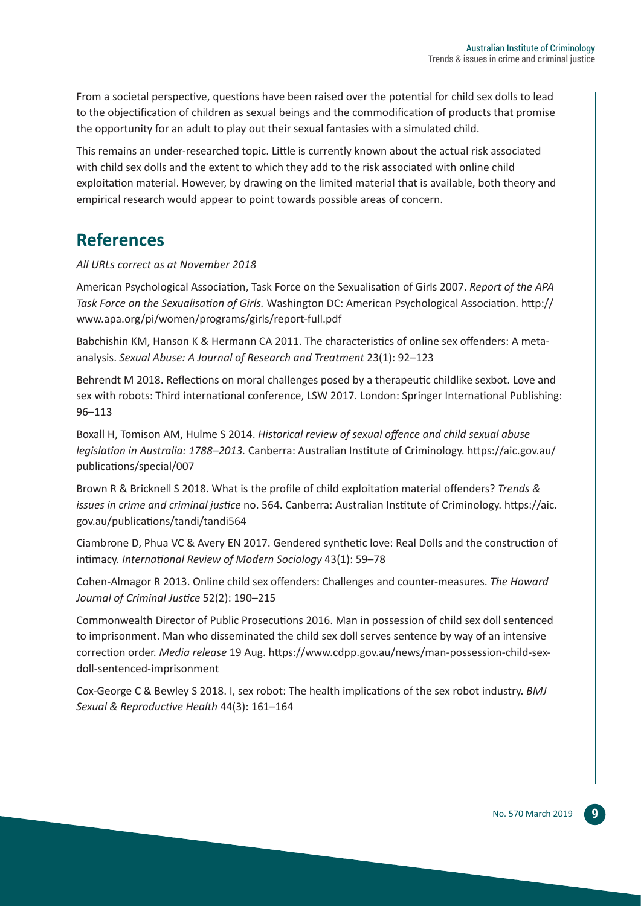From a societal perspective, questions have been raised over the potential for child sex dolls to lead to the objectification of children as sexual beings and the commodification of products that promise the opportunity for an adult to play out their sexual fantasies with a simulated child.

This remains an under-researched topic. Little is currently known about the actual risk associated with child sex dolls and the extent to which they add to the risk associated with online child exploitation material. However, by drawing on the limited material that is available, both theory and empirical research would appear to point towards possible areas of concern.

## **References**

*All URLs correct as at November 2018*

American Psychological Association, Task Force on the Sexualisation of Girls 2007. *Report of the APA Task Force on the Sexualisation of Girls.* Washington DC: American Psychological Association. http:// www.apa.org/pi/women/programs/girls/report-full.pdf

Babchishin KM, Hanson K & Hermann CA 2011. The characteristics of online sex offenders: A metaanalysis. *Sexual Abuse: A Journal of Research and Treatment* 23(1): 92–123

Behrendt M 2018. Reflections on moral challenges posed by a therapeutic childlike sexbot. Love and sex with robots: Third international conference, LSW 2017. London: Springer International Publishing: 96–113

Boxall H, Tomison AM, Hulme S 2014. *Historical review of sexual offence and child sexual abuse legislation in Australia: 1788–2013.* Canberra: Australian Institute of Criminology. https://aic.gov.au/ publications/special/007

Brown R & Bricknell S 2018. What is the profile of child exploitation material offenders? *Trends & issues in crime and criminal justice* no. 564. Canberra: Australian Institute of Criminology. https://aic. gov.au/publications/tandi/tandi564

Ciambrone D, Phua VC & Avery EN 2017. Gendered synthetic love: Real Dolls and the construction of intimacy. *International Review of Modern Sociology* 43(1): 59–78

Cohen-Almagor R 2013. Online child sex offenders: Challenges and counter-measures. *The Howard Journal of Criminal Justice* 52(2): 190–215

Commonwealth Director of Public Prosecutions 2016. Man in possession of child sex doll sentenced to imprisonment. Man who disseminated the child sex doll serves sentence by way of an intensive correction order. *Media release* 19 Aug. https://www.cdpp.gov.au/news/man-possession-child-sexdoll-sentenced-imprisonment

Cox-George C & Bewley S 2018. I, sex robot: The health implications of the sex robot industry. *BMJ Sexual & Reproductive Health* 44(3): 161–164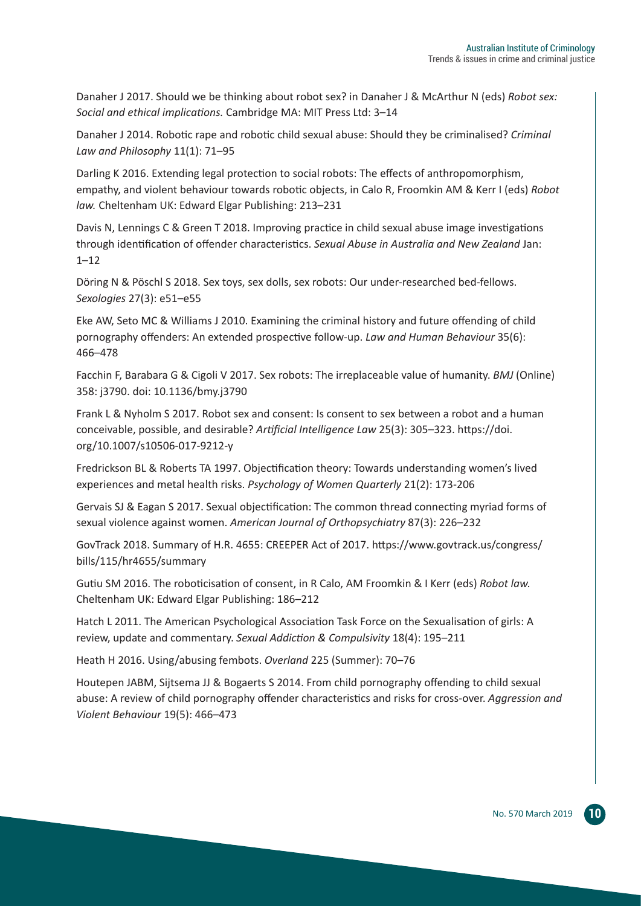Danaher J 2017. Should we be thinking about robot sex? in Danaher J & McArthur N (eds) *Robot sex: Social and ethical implications.* Cambridge MA: MIT Press Ltd: 3–14

Danaher J 2014. Robotic rape and robotic child sexual abuse: Should they be criminalised? *Criminal Law and Philosophy* 11(1): 71–95

Darling K 2016. Extending legal protection to social robots: The effects of anthropomorphism, empathy, and violent behaviour towards robotic objects, in Calo R, Froomkin AM & Kerr I (eds) *Robot law.* Cheltenham UK: Edward Elgar Publishing: 213–231

Davis N, Lennings C & Green T 2018. Improving practice in child sexual abuse image investigations through identification of offender characteristics. *Sexual Abuse in Australia and New Zealand* Jan:  $1 - 12$ 

Döring N & Pöschl S 2018. Sex toys, sex dolls, sex robots: Our under-researched bed-fellows. *Sexologies* 27(3): e51–e55

Eke AW, Seto MC & Williams J 2010. Examining the criminal history and future offending of child pornography offenders: An extended prospective follow-up. *Law and Human Behaviour* 35(6): 466–478

Facchin F, Barabara G & Cigoli V 2017. Sex robots: The irreplaceable value of humanity. *BMJ* (Online) 358: j3790. doi: 10.1136/bmy.j3790

Frank L & Nyholm S 2017. Robot sex and consent: Is consent to sex between a robot and a human conceivable, possible, and desirable? *Artificial Intelligence Law* 25(3): 305–323. https://doi. org/10.1007/s10506-017-9212-y

Fredrickson BL & Roberts TA 1997. Objectification theory: Towards understanding women's lived experiences and metal health risks. *Psychology of Women Quarterly* 21(2): 173-206

Gervais SJ & Eagan S 2017. Sexual objectification: The common thread connecting myriad forms of sexual violence against women. *American Journal of Orthopsychiatry* 87(3): 226–232

GovTrack 2018. Summary of H.R. 4655: CREEPER Act of 2017. https://www.govtrack.us/congress/ bills/115/hr4655/summary

Gutiu SM 2016. The roboticisation of consent, in R Calo, AM Froomkin & I Kerr (eds) *Robot law.* Cheltenham UK: Edward Elgar Publishing: 186–212

Hatch L 2011. The American Psychological Association Task Force on the Sexualisation of girls: A review, update and commentary. *Sexual Addiction & Compulsivity* 18(4): 195–211

Heath H 2016. Using/abusing fembots. *Overland* 225 (Summer): 70–76

Houtepen JABM, Sijtsema JJ & Bogaerts S 2014. From child pornography offending to child sexual abuse: A review of child pornography offender characteristics and risks for cross-over. *Aggression and Violent Behaviour* 19(5): 466–473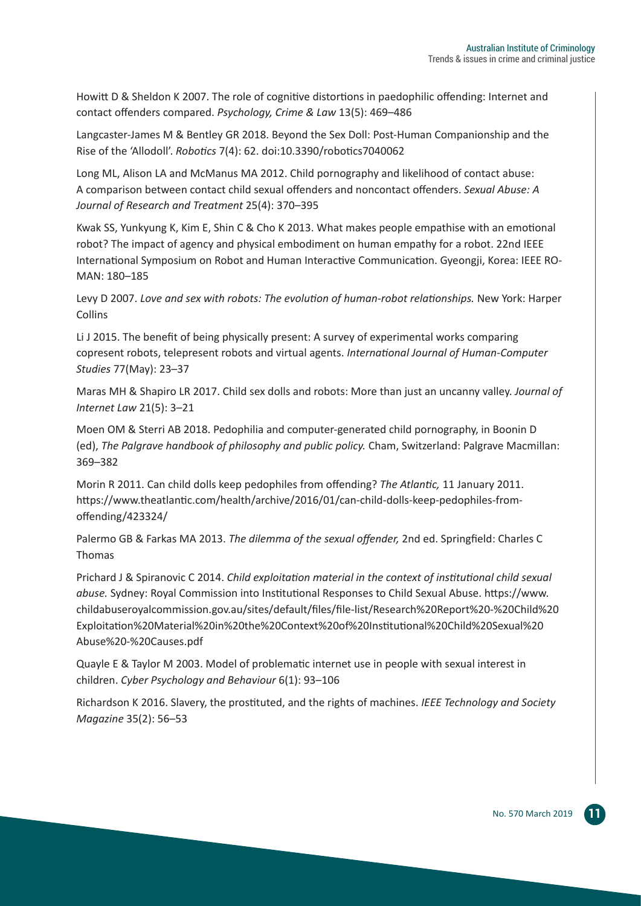Howitt D & Sheldon K 2007. The role of cognitive distortions in paedophilic offending: Internet and contact offenders compared. *Psychology, Crime & Law* 13(5): 469–486

Langcaster-James M & Bentley GR 2018. Beyond the Sex Doll: Post-Human Companionship and the Rise of the 'Allodoll'. *Robotics* 7(4): 62. doi:10.3390/robotics7040062

Long ML, Alison LA and McManus MA 2012. Child pornography and likelihood of contact abuse: A comparison between contact child sexual offenders and noncontact offenders. *Sexual Abuse: A Journal of Research and Treatment* 25(4): 370–395

Kwak SS, Yunkyung K, Kim E, Shin C & Cho K 2013. What makes people empathise with an emotional robot? The impact of agency and physical embodiment on human empathy for a robot. 22nd IEEE International Symposium on Robot and Human Interactive Communication. Gyeongji, Korea: IEEE RO-MAN: 180–185

Levy D 2007. *Love and sex with robots: The evolution of human-robot relationships.* New York: Harper Collins

Li J 2015. The benefit of being physically present: A survey of experimental works comparing copresent robots, telepresent robots and virtual agents. *International Journal of Human-Computer Studies* 77(May): 23–37

Maras MH & Shapiro LR 2017. Child sex dolls and robots: More than just an uncanny valley. *Journal of Internet Law* 21(5): 3–21

Moen OM & Sterri AB 2018. Pedophilia and computer-generated child pornography, in Boonin D (ed), *The Palgrave handbook of philosophy and public policy.* Cham, Switzerland: Palgrave Macmillan: 369–382

Morin R 2011. Can child dolls keep pedophiles from offending? *The Atlantic,* 11 January 2011. https://www.theatlantic.com/health/archive/2016/01/can-child-dolls-keep-pedophiles-fromoffending/423324/

Palermo GB & Farkas MA 2013. *The dilemma of the sexual offender,* 2nd ed. Springfield: Charles C Thomas

Prichard J & Spiranovic C 2014. *Child exploitation material in the context of institutional child sexual abuse.* Sydney: Royal Commission into Institutional Responses to Child Sexual Abuse. https://www. childabuseroyalcommission.gov.au/sites/default/files/file-list/Research%20Report%20-%20Child%20 Exploitation%20Material%20in%20the%20Context%20of%20Institutional%20Child%20Sexual%20 Abuse%20-%20Causes.pdf

Quayle E & Taylor M 2003. Model of problematic internet use in people with sexual interest in children. *Cyber Psychology and Behaviour* 6(1): 93–106

Richardson K 2016. Slavery, the prostituted, and the rights of machines. *IEEE Technology and Society Magazine* 35(2): 56–53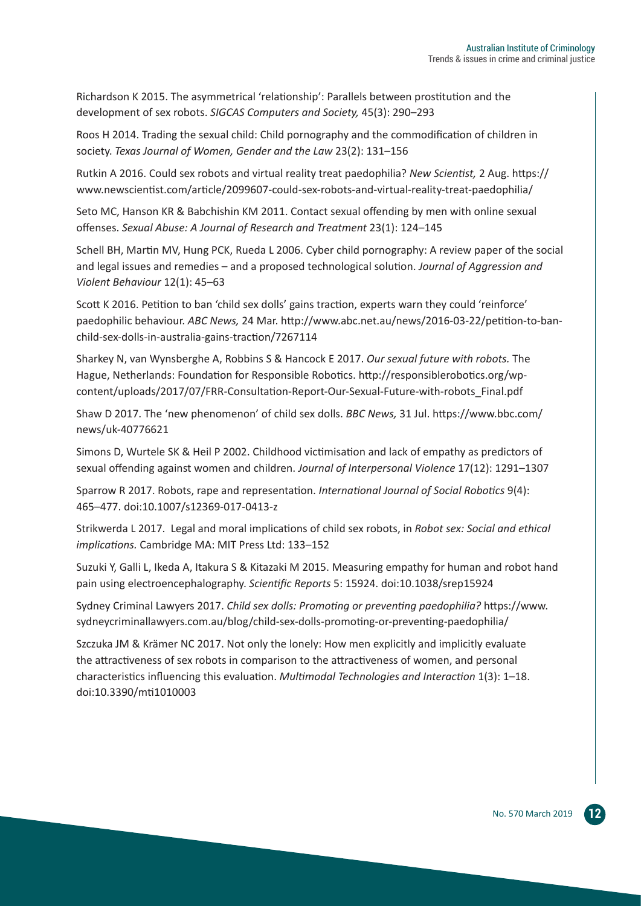Richardson K 2015. The asymmetrical 'relationship': Parallels between prostitution and the development of sex robots. *SIGCAS Computers and Society,* 45(3): 290–293

Roos H 2014. Trading the sexual child: Child pornography and the commodification of children in society. *Texas Journal of Women, Gender and the Law* 23(2): 131–156

Rutkin A 2016. Could sex robots and virtual reality treat paedophilia? *New Scientist,* 2 Aug. https:// www.newscientist.com/article/2099607-could-sex-robots-and-virtual-reality-treat-paedophilia/

Seto MC, Hanson KR & Babchishin KM 2011. Contact sexual offending by men with online sexual offenses. *Sexual Abuse: A Journal of Research and Treatment* 23(1): 124–145

Schell BH, Martin MV, Hung PCK, Rueda L 2006. Cyber child pornography: A review paper of the social and legal issues and remedies – and a proposed technological solution. *Journal of Aggression and Violent Behaviour* 12(1): 45–63

Scott K 2016. Petition to ban 'child sex dolls' gains traction, experts warn they could 'reinforce' paedophilic behaviour. *ABC News,* 24 Mar. http://www.abc.net.au/news/2016-03-22/petition-to-banchild-sex-dolls-in-australia-gains-traction/7267114

Sharkey N, van Wynsberghe A, Robbins S & Hancock E 2017. *Our sexual future with robots.* The Hague, Netherlands: Foundation for Responsible Robotics. http://responsiblerobotics.org/wpcontent/uploads/2017/07/FRR-Consultation-Report-Our-Sexual-Future-with-robots\_Final.pdf

Shaw D 2017. The 'new phenomenon' of child sex dolls. *BBC News,* 31 Jul. https://www.bbc.com/ news/uk-40776621

Simons D, Wurtele SK & Heil P 2002. Childhood victimisation and lack of empathy as predictors of sexual offending against women and children. *Journal of Interpersonal Violence* 17(12): 1291–1307

Sparrow R 2017. Robots, rape and representation. *International Journal of Social Robotics* 9(4): 465–477. doi:10.1007/s12369-017-0413-z

Strikwerda L 2017. Legal and moral implications of child sex robots, in *Robot sex: Social and ethical implications.* Cambridge MA: MIT Press Ltd: 133–152

Suzuki Y, Galli L, Ikeda A, Itakura S & Kitazaki M 2015. Measuring empathy for human and robot hand pain using electroencephalography. *Scientific Reports* 5: 15924. doi:10.1038/srep15924

Sydney Criminal Lawyers 2017. *Child sex dolls: Promoting or preventing paedophilia?* https://www. sydneycriminallawyers.com.au/blog/child-sex-dolls-promoting-or-preventing-paedophilia/

Szczuka JM & Krämer NC 2017. Not only the lonely: How men explicitly and implicitly evaluate the attractiveness of sex robots in comparison to the attractiveness of women, and personal characteristics influencing this evaluation. *Multimodal Technologies and Interaction* 1(3): 1–18. doi:10.3390/mti1010003